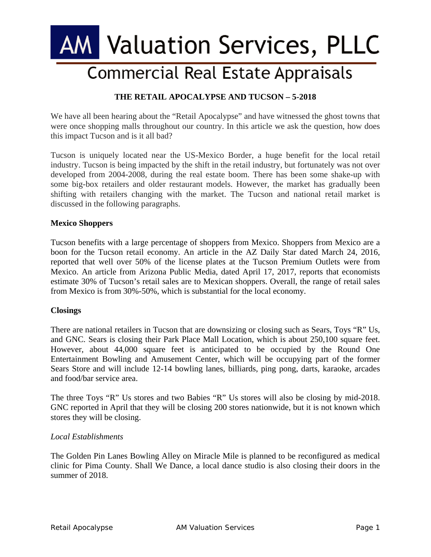# **AM Valuation Services, PLLC**

## **Commercial Real Estate Appraisals**

### **THE RETAIL APOCALYPSE AND TUCSON – 5-2018**

We have all been hearing about the "Retail Apocalypse" and have witnessed the ghost towns that were once shopping malls throughout our country. In this article we ask the question, how does this impact Tucson and is it all bad?

Tucson is uniquely located near the US-Mexico Border, a huge benefit for the local retail industry. Tucson is being impacted by the shift in the retail industry, but fortunately was not over developed from 2004-2008, during the real estate boom. There has been some shake-up with some big-box retailers and older restaurant models. However, the market has gradually been shifting with retailers changing with the market. The Tucson and national retail market is discussed in the following paragraphs.

#### **Mexico Shoppers**

Tucson benefits with a large percentage of shoppers from Mexico. Shoppers from Mexico are a boon for the Tucson retail economy. An article in the AZ Daily Star dated March 24, 2016, reported that well over 50% of the license plates at the Tucson Premium Outlets were from Mexico. An article from Arizona Public Media, dated April 17, 2017, reports that economists estimate 30% of Tucson's retail sales are to Mexican shoppers. Overall, the range of retail sales from Mexico is from 30%-50%, which is substantial for the local economy.

#### **Closings**

There are national retailers in Tucson that are downsizing or closing such as Sears, Toys "R" Us, and GNC. Sears is closing their Park Place Mall Location, which is about 250,100 square feet. However, about 44,000 square feet is anticipated to be occupied by the Round One Entertainment Bowling and Amusement Center, which will be occupying part of the former Sears Store and will include 12-14 bowling lanes, billiards, ping pong, darts, karaoke, arcades and food/bar service area.

The three Toys "R" Us stores and two Babies "R" Us stores will also be closing by mid-2018. GNC reported in April that they will be closing 200 stores nationwide, but it is not known which stores they will be closing.

#### *Local Establishments*

The Golden Pin Lanes Bowling Alley on Miracle Mile is planned to be reconfigured as medical clinic for Pima County. Shall We Dance, a local dance studio is also closing their doors in the summer of 2018.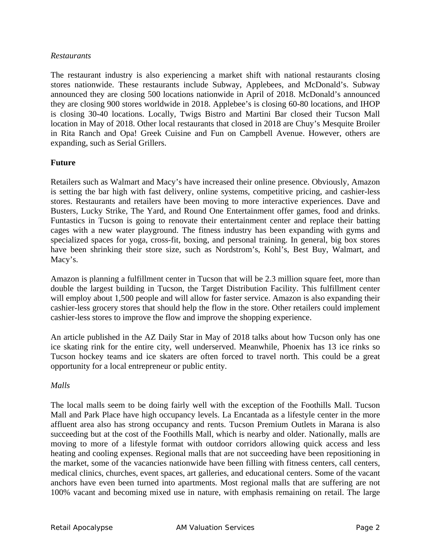#### *Restaurants*

The restaurant industry is also experiencing a market shift with national restaurants closing stores nationwide. These restaurants include Subway, Applebees, and McDonald's. Subway announced they are closing 500 locations nationwide in April of 2018. McDonald's announced they are closing 900 stores worldwide in 2018. Applebee's is closing 60-80 locations, and IHOP is closing 30-40 locations. Locally, Twigs Bistro and Martini Bar closed their Tucson Mall location in May of 2018. Other local restaurants that closed in 2018 are Chuy's Mesquite Broiler in Rita Ranch and Opa! Greek Cuisine and Fun on Campbell Avenue. However, others are expanding, such as Serial Grillers.

#### **Future**

Retailers such as Walmart and Macy's have increased their online presence. Obviously, Amazon is setting the bar high with fast delivery, online systems, competitive pricing, and cashier-less stores. Restaurants and retailers have been moving to more interactive experiences. Dave and Busters, Lucky Strike, The Yard, and Round One Entertainment offer games, food and drinks. Funtastics in Tucson is going to renovate their entertainment center and replace their batting cages with a new water playground. The fitness industry has been expanding with gyms and specialized spaces for yoga, cross-fit, boxing, and personal training. In general, big box stores have been shrinking their store size, such as Nordstrom's, Kohl's, Best Buy, Walmart, and Macy's.

Amazon is planning a fulfillment center in Tucson that will be 2.3 million square feet, more than double the largest building in Tucson, the Target Distribution Facility. This fulfillment center will employ about 1,500 people and will allow for faster service. Amazon is also expanding their cashier-less grocery stores that should help the flow in the store. Other retailers could implement cashier-less stores to improve the flow and improve the shopping experience.

An article published in the AZ Daily Star in May of 2018 talks about how Tucson only has one ice skating rink for the entire city, well underserved. Meanwhile, Phoenix has 13 ice rinks so Tucson hockey teams and ice skaters are often forced to travel north. This could be a great opportunity for a local entrepreneur or public entity.

#### *Malls*

The local malls seem to be doing fairly well with the exception of the Foothills Mall. Tucson Mall and Park Place have high occupancy levels. La Encantada as a lifestyle center in the more affluent area also has strong occupancy and rents. Tucson Premium Outlets in Marana is also succeeding but at the cost of the Foothills Mall, which is nearby and older. Nationally, malls are moving to more of a lifestyle format with outdoor corridors allowing quick access and less heating and cooling expenses. Regional malls that are not succeeding have been repositioning in the market, some of the vacancies nationwide have been filling with fitness centers, call centers, medical clinics, churches, event spaces, art galleries, and educational centers. Some of the vacant anchors have even been turned into apartments. Most regional malls that are suffering are not 100% vacant and becoming mixed use in nature, with emphasis remaining on retail. The large